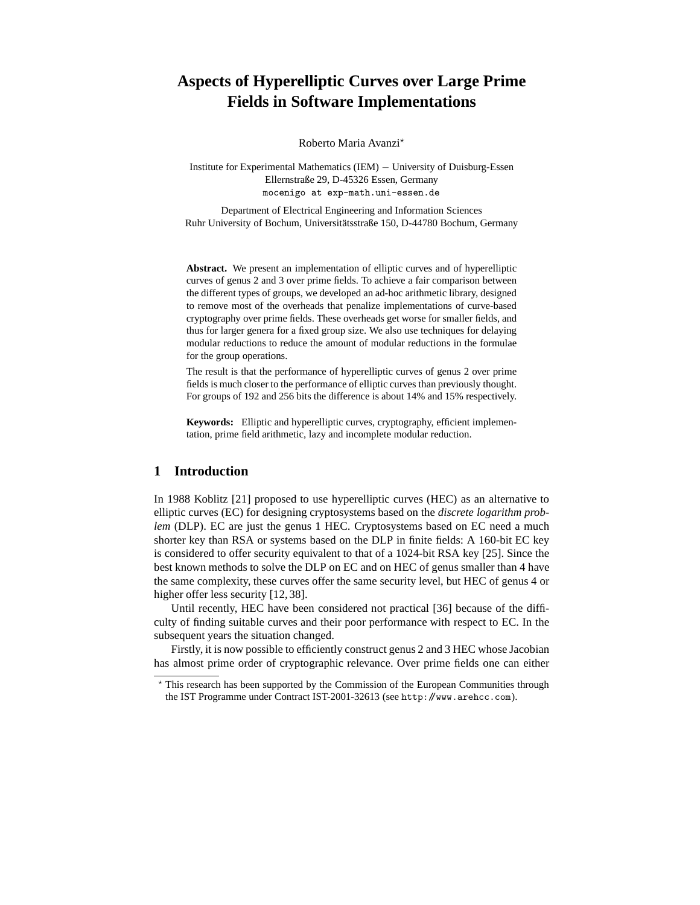# **Aspects of Hyperelliptic Curves over Large Prime Fields in Software Implementations**

Roberto Maria Avanzi<sup>\*</sup>

Institute for Experimental Mathematics (IEM) − University of Duisburg-Essen Ellernstraße 29, D-45326 Essen, Germany mocenigo at exp-math.uni-essen.de

Department of Electrical Engineering and Information Sciences Ruhr University of Bochum, Universitätsstraße 150, D-44780 Bochum, Germany

**Abstract.** We present an implementation of elliptic curves and of hyperelliptic curves of genus 2 and 3 over prime fields. To achieve a fair comparison between the different types of groups, we developed an ad-hoc arithmetic library, designed to remove most of the overheads that penalize implementations of curve-based cryptography over prime fields. These overheads get worse for smaller fields, and thus for larger genera for a fixed group size. We also use techniques for delaying modular reductions to reduce the amount of modular reductions in the formulae for the group operations.

The result is that the performance of hyperelliptic curves of genus 2 over prime fields is much closer to the performance of elliptic curves than previously thought. For groups of 192 and 256 bits the difference is about 14% and 15% respectively.

**Keywords:** Elliptic and hyperelliptic curves, cryptography, efficient implementation, prime field arithmetic, lazy and incomplete modular reduction.

## **1 Introduction**

In 1988 Koblitz [21] proposed to use hyperelliptic curves (HEC) as an alternative to elliptic curves (EC) for designing cryptosystems based on the *discrete logarithm problem* (DLP). EC are just the genus 1 HEC. Cryptosystems based on EC need a much shorter key than RSA or systems based on the DLP in finite fields: A 160-bit EC key is considered to offer security equivalent to that of a 1024-bit RSA key [25]. Since the best known methods to solve the DLP on EC and on HEC of genus smaller than 4 have the same complexity, these curves offer the same security level, but HEC of genus 4 or higher offer less security [12, 38].

Until recently, HEC have been considered not practical [36] because of the difficulty of finding suitable curves and their poor performance with respect to EC. In the subsequent years the situation changed.

Firstly, it is now possible to efficiently construct genus 2 and 3 HEC whose Jacobian has almost prime order of cryptographic relevance. Over prime fields one can either

This research has been supported by the Commission of the European Communities through the IST Programme under Contract IST-2001-32613 (see http://www.arehcc.com).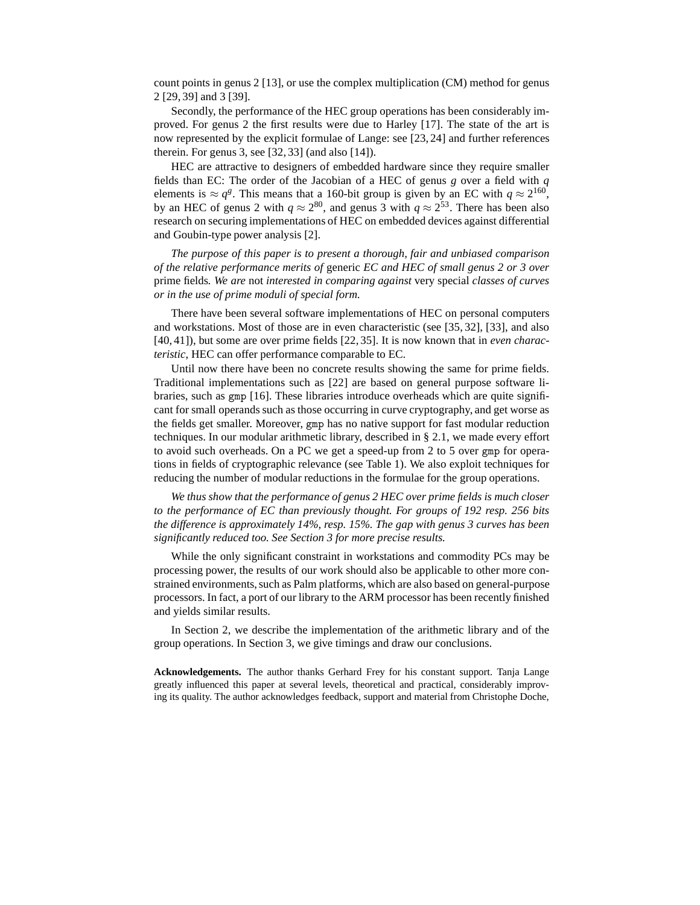count points in genus  $2 \lfloor 13 \rfloor$ , or use the complex multiplication (CM) method for genus 2 [29, 39] and 3 [39].

Secondly, the performance of the HEC group operations has been considerably improved. For genus 2 the first results were due to Harley [17]. The state of the art is now represented by the explicit formulae of Lange: see [23, 24] and further references therein. For genus 3, see [32, 33] (and also [14]).

HEC are attractive to designers of embedded hardware since they require smaller fields than EC: The order of the Jacobian of a HEC of genus *g* over a field with *q* elements is  $\approx q^g$ . This means that a 160-bit group is given by an EC with  $q \approx 2^{160}$ , by an HEC of genus 2 with  $q \approx 2^{80}$ , and genus 3 with  $q \approx 2^{53}$ . There has been also research on securing implementations of HEC on embedded devices against differential and Goubin-type power analysis [2].

*The purpose of this paper is to present a thorough, fair and unbiased comparison of the relative performance merits of* generic *EC and HEC of small genus 2 or 3 over* prime fields*. We are* not *interested in comparing against* very special *classes of curves or in the use of prime moduli of special form.*

There have been several software implementations of HEC on personal computers and workstations. Most of those are in even characteristic (see [35, 32], [33], and also [40, 41]), but some are over prime fields [22, 35]. It is now known that in *even characteristic*, HEC can offer performance comparable to EC.

Until now there have been no concrete results showing the same for prime fields. Traditional implementations such as [22] are based on general purpose software libraries, such as gmp [16]. These libraries introduce overheads which are quite significant for small operands such as those occurring in curve cryptography, and get worse as the fields get smaller. Moreover, gmp has no native support for fast modular reduction techniques. In our modular arithmetic library, described in § 2.1, we made every effort to avoid such overheads. On a PC we get a speed-up from 2 to 5 over gmp for operations in fields of cryptographic relevance (see Table 1). We also exploit techniques for reducing the number of modular reductions in the formulae for the group operations.

*We thus show that the performance of genus 2 HEC over prime fields is much closer to the performance of EC than previously thought. For groups of 192 resp. 256 bits the difference is approximately 14%, resp. 15%. The gap with genus 3 curves has been significantly reduced too. See Section 3 for more precise results.*

While the only significant constraint in workstations and commodity PCs may be processing power, the results of our work should also be applicable to other more constrained environments, such as Palm platforms, which are also based on general-purpose processors. In fact, a port of our library to the ARM processor has been recently finished and yields similar results.

In Section 2, we describe the implementation of the arithmetic library and of the group operations. In Section 3, we give timings and draw our conclusions.

**Acknowledgements.** The author thanks Gerhard Frey for his constant support. Tanja Lange greatly influenced this paper at several levels, theoretical and practical, considerably improving its quality. The author acknowledges feedback, support and material from Christophe Doche,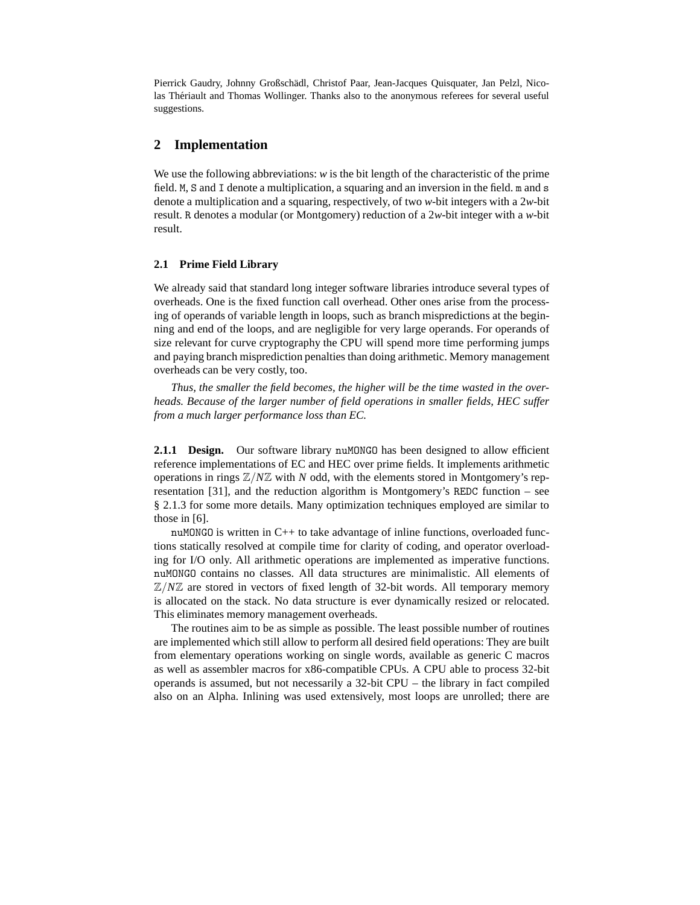Pierrick Gaudry, Johnny Großschädl, Christof Paar, Jean-Jacques Quisquater, Jan Pelzl, Nicolas Thériault and Thomas Wollinger. Thanks also to the anonymous referees for several useful suggestions.

### **2 Implementation**

We use the following abbreviations: *w* is the bit length of the characteristic of the prime field. M, S and I denote a multiplication, a squaring and an inversion in the field. m and s denote a multiplication and a squaring, respectively, of two *w*-bit integers with a 2*w*-bit result. R denotes a modular (or Montgomery) reduction of a 2*w*-bit integer with a *w*-bit result.

#### **2.1 Prime Field Library**

We already said that standard long integer software libraries introduce several types of overheads. One is the fixed function call overhead. Other ones arise from the processing of operands of variable length in loops, such as branch mispredictions at the beginning and end of the loops, and are negligible for very large operands. For operands of size relevant for curve cryptography the CPU will spend more time performing jumps and paying branch misprediction penalties than doing arithmetic. Memory management overheads can be very costly, too.

*Thus, the smaller the field becomes, the higher will be the time wasted in the overheads. Because of the larger number of field operations in smaller fields, HEC suffer from a much larger performance loss than EC.*

**2.1.1 Design.** Our software library nuMONGO has been designed to allow efficient reference implementations of EC and HEC over prime fields. It implements arithmetic operations in rings Z/*N*Z with *N* odd, with the elements stored in Montgomery's representation [31], and the reduction algorithm is Montgomery's REDC function – see § 2.1.3 for some more details. Many optimization techniques employed are similar to those in [6].

nuMONGO is written in C++ to take advantage of inline functions, overloaded functions statically resolved at compile time for clarity of coding, and operator overloading for I/O only. All arithmetic operations are implemented as imperative functions. nuMONGO contains no classes. All data structures are minimalistic. All elements of  $\mathbb{Z}/N\mathbb{Z}$  are stored in vectors of fixed length of 32-bit words. All temporary memory is allocated on the stack. No data structure is ever dynamically resized or relocated. This eliminates memory management overheads.

The routines aim to be as simple as possible. The least possible number of routines are implemented which still allow to perform all desired field operations: They are built from elementary operations working on single words, available as generic C macros as well as assembler macros for x86-compatible CPUs. A CPU able to process 32-bit operands is assumed, but not necessarily a 32-bit CPU – the library in fact compiled also on an Alpha. Inlining was used extensively, most loops are unrolled; there are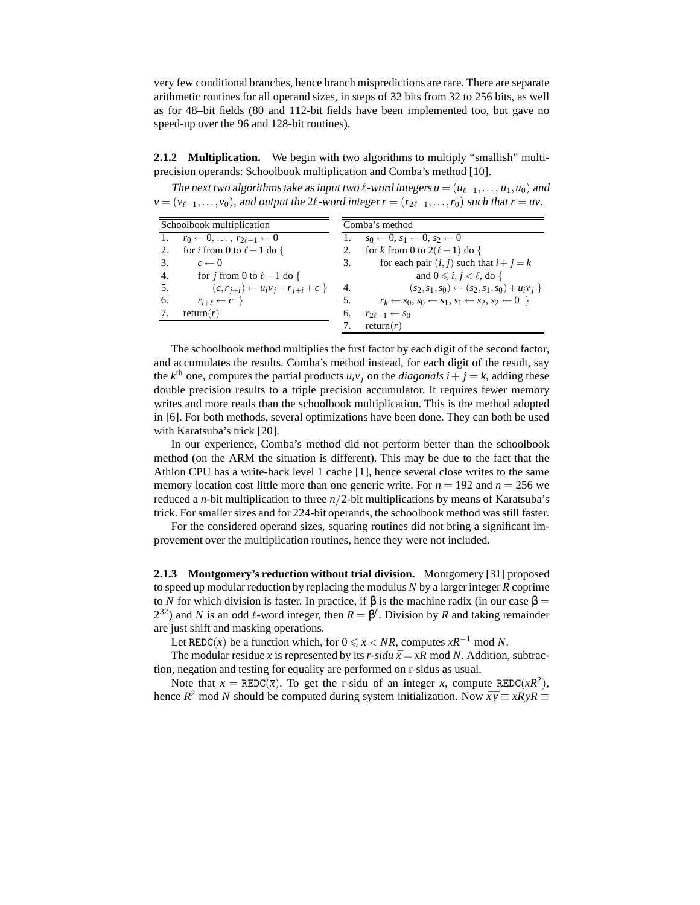very few conditional branches, hence branch mispredictions are rare. There are separate arithmetic routines for all operand sizes, in steps of 32 bits from 32 to 256 bits, as well as for 48–bit fields (80 and 112-bit fields have been implemented too, but gave no speed-up over the 96 and 128-bit routines).

**2.1.2 Multiplication.** We begin with two algorithms to multiply "smallish" multiprecision operands: Schoolbook multiplication and Comba's method [10].

The next two algorithms take as input two  $\ell$ -word integers  $u = (u_{\ell-1},...,u_1,u_0)$  and  $v = (v_{\ell-1}, \ldots, v_0)$ , and output the 2 $\ell$ -word integer  $r = (r_{2\ell-1}, \ldots, r_0)$  such that  $r = uv$ .

|    | Schoolbook multiplication                               |    | Comba's method                                                                 |  |  |  |  |
|----|---------------------------------------------------------|----|--------------------------------------------------------------------------------|--|--|--|--|
|    | 1. $r_0 \leftarrow 0, \ldots, r_{2\ell-1} \leftarrow 0$ | 1. | $s_0 \leftarrow 0, s_1 \leftarrow 0, s_2 \leftarrow 0$                         |  |  |  |  |
| 2. | for <i>i</i> from 0 to $\ell - 1$ do {                  | 2. | for k from 0 to $2(\ell-1)$ do {                                               |  |  |  |  |
| 3. | $c \leftarrow 0$                                        | 3. | for each pair $(i, j)$ such that $i + j = k$                                   |  |  |  |  |
| 4. | for j from 0 to $\ell - 1$ do {                         |    | and $0 \le i, j \le \ell$ , do {                                               |  |  |  |  |
| 5. | $(c, r_{i+i}) \leftarrow u_i v_i + r_{i+i} + c$         | 4. | $(s_2,s_1,s_0) \leftarrow (s_2,s_1,s_0) + u_i v_i$                             |  |  |  |  |
| 6. | $r_{i+\ell} \leftarrow c$                               | 5. | $r_k \leftarrow s_0, s_0 \leftarrow s_1, s_1 \leftarrow s_2, s_2 \leftarrow 0$ |  |  |  |  |
|    | return $(r)$                                            | 6. | $r_{2\ell-1} \leftarrow s_0$                                                   |  |  |  |  |
|    |                                                         |    | return $(r)$                                                                   |  |  |  |  |
|    |                                                         |    |                                                                                |  |  |  |  |

The schoolbook method multiplies the first factor by each digit of the second factor, and accumulates the results. Comba's method instead, for each digit of the result, say the  $k^{\text{th}}$  one, computes the partial products  $u_i v_j$  on the *diagonals*  $i + j = k$ , adding these double precision results to a triple precision accumulator. It requires fewer memory writes and more reads than the schoolbook multiplication. This is the method adopted in [6]. For both methods, several optimizations have been done. They can both be used with Karatsuba's trick [20].

In our experience, Comba's method did not perform better than the schoolbook method (on the ARM the situation is different). This may be due to the fact that the Athlon CPU has a write-back level 1 cache [1], hence several close writes to the same memory location cost little more than one generic write. For  $n = 192$  and  $n = 256$  we reduced a *n*-bit multiplication to three *n*/2-bit multiplications by means of Karatsuba's trick. For smaller sizes and for 224-bit operands, the schoolbook method was still faster.

For the considered operand sizes, squaring routines did not bring a significant improvement over the multiplication routines, hence they were not included.

**2.1.3 Montgomery's reduction without trial division.** Montgomery [31] proposed to speed up modular reduction by replacing the modulus *N* by a larger integer *R* coprime to *N* for which division is faster. In practice, if  $\beta$  is the machine radix (in our case  $\beta$  =  $2^{32}$ ) and *N* is an odd  $\ell$ -word integer, then  $R = \beta^{\ell}$ . Division by *R* and taking remainder are just shift and masking operations.

Let REDC(*x*) be a function which, for  $0 \le x < NR$ , computes  $xR^{-1}$  mod *N*.

The modular residue *x* is represented by its *r-sidu*  $\bar{x} = xR \text{ mod } N$ . Addition, subtraction, negation and testing for equality are performed on r-sidus as usual.

Note that  $x = \text{REDC}(\overline{x})$ . To get the r-sidu of an integer *x*, compute REDC( $xR^2$ ), hence  $R^2$  mod *N* should be computed during system initialization. Now  $\bar{x}\bar{y} \equiv xRyR \equiv$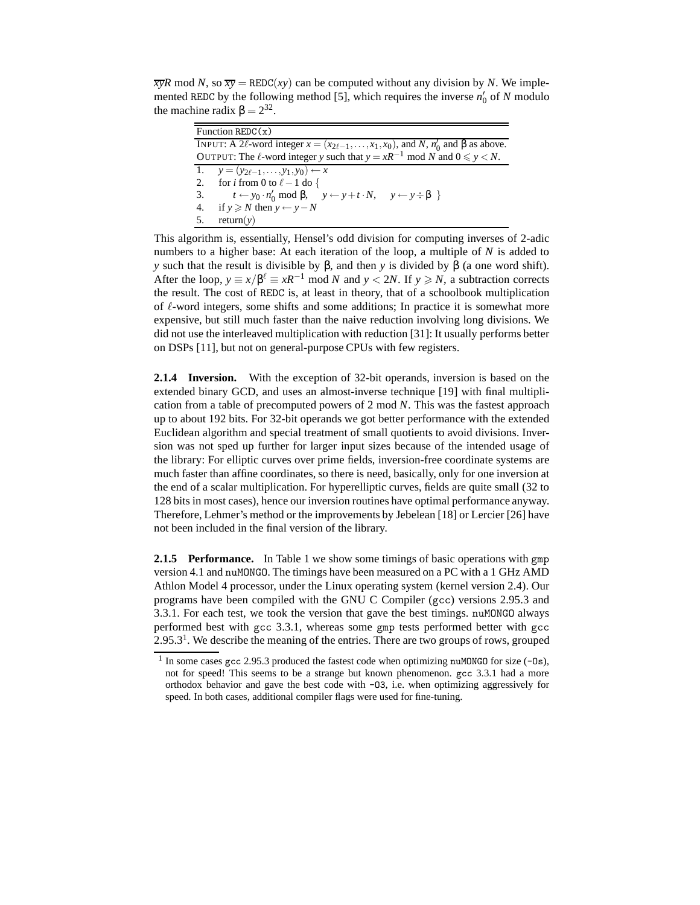$\overline{xy}R \text{ mod } N$ , so  $\overline{xy} = \text{REDC}(xy)$  can be computed without any division by *N*. We implemented REDC by the following method [5], which requires the inverse  $n'_0$  of *N* modulo the machine radix  $\beta = 2^{32}$ .

| Function REDC $(x)$                                                                                            |  |  |  |  |
|----------------------------------------------------------------------------------------------------------------|--|--|--|--|
| INPUT: A 2 $\ell$ -word integer $x = (x_{2\ell-1},,x_1,x_0)$ , and N, $n'_0$ and $\beta$ as above.             |  |  |  |  |
| OUTPUT: The $\ell$ -word integer y such that $y = xR^{-1} \text{ mod } N$ and $0 \le y \le N$ .                |  |  |  |  |
| 1. $y = (y_{2\ell-1}, \ldots, y_1, y_0) \leftarrow x$                                                          |  |  |  |  |
| 2. for <i>i</i> from 0 to $\ell - 1$ do {                                                                      |  |  |  |  |
| 3. $t \leftarrow y_0 \cdot n'_0 \mod \beta, \quad y \leftarrow y + t \cdot N, \quad y \leftarrow y \div \beta$ |  |  |  |  |
| if $y \ge N$ then $y \leftarrow y - N$<br>4.                                                                   |  |  |  |  |
| return(y)<br>.5.                                                                                               |  |  |  |  |

This algorithm is, essentially, Hensel's odd division for computing inverses of 2-adic numbers to a higher base: At each iteration of the loop, a multiple of *N* is added to *y* such that the result is divisible by β, and then *y* is divided by β (a one word shift). After the loop,  $y \equiv x/\beta^{\ell} \equiv xR^{-1} \mod N$  and  $y < 2N$ . If  $y \ge N$ , a subtraction corrects the result. The cost of REDC is, at least in theory, that of a schoolbook multiplication of ℓ-word integers, some shifts and some additions; In practice it is somewhat more expensive, but still much faster than the naive reduction involving long divisions. We did not use the interleaved multiplication with reduction [31]: It usually performs better on DSPs [11], but not on general-purpose CPUs with few registers.

**2.1.4 Inversion.** With the exception of 32-bit operands, inversion is based on the extended binary GCD, and uses an almost-inverse technique [19] with final multiplication from a table of precomputed powers of 2 mod *N*. This was the fastest approach up to about 192 bits. For 32-bit operands we got better performance with the extended Euclidean algorithm and special treatment of small quotients to avoid divisions. Inversion was not sped up further for larger input sizes because of the intended usage of the library: For elliptic curves over prime fields, inversion-free coordinate systems are much faster than affine coordinates, so there is need, basically, only for one inversion at the end of a scalar multiplication. For hyperelliptic curves, fields are quite small (32 to 128 bits in most cases), hence our inversion routines have optimal performance anyway. Therefore, Lehmer's method or the improvements by Jebelean [18] or Lercier [26] have not been included in the final version of the library.

**2.1.5 Performance.** In Table 1 we show some timings of basic operations with gmp version 4.1 and nuMONGO. The timings have been measured on a PC with a 1 GHz AMD Athlon Model 4 processor, under the Linux operating system (kernel version 2.4). Our programs have been compiled with the GNU C Compiler (gcc) versions 2.95.3 and 3.3.1. For each test, we took the version that gave the best timings. nuMONGO always performed best with gcc 3.3.1, whereas some gmp tests performed better with gcc  $2.95.3<sup>1</sup>$ . We describe the meaning of the entries. There are two groups of rows, grouped

<sup>&</sup>lt;sup>1</sup> In some cases gcc 2.95.3 produced the fastest code when optimizing nuMONGO for size (-0s), not for speed! This seems to be a strange but known phenomenon. gcc 3.3.1 had a more orthodox behavior and gave the best code with -O3, i.e. when optimizing aggressively for speed. In both cases, additional compiler flags were used for fine-tuning.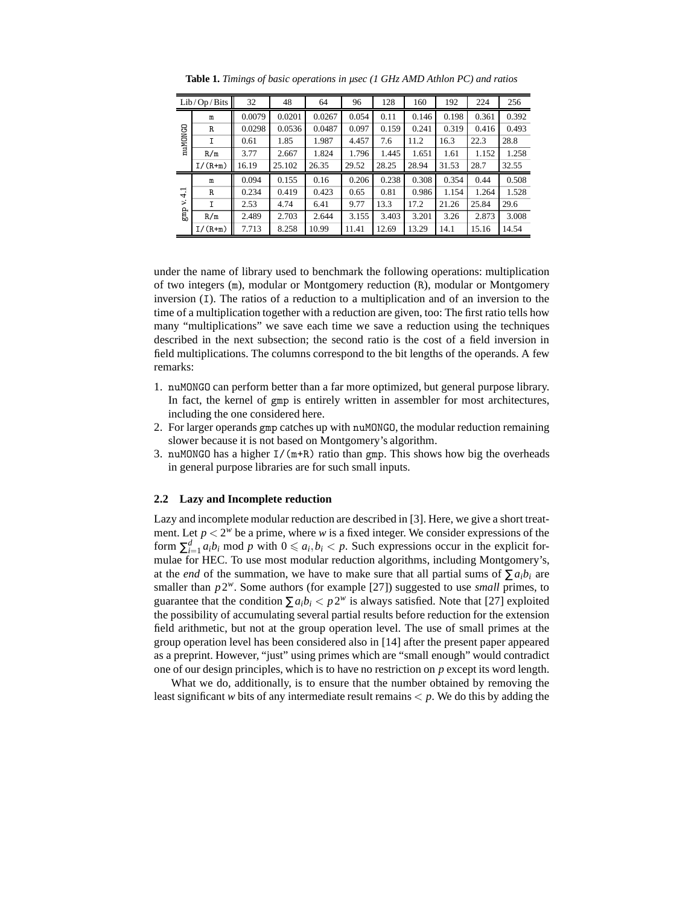|                                            | Lib/Op/Bits | 32     | 48     | 64     | 96    | 128   | 160   | 192   | 224   | 256   |
|--------------------------------------------|-------------|--------|--------|--------|-------|-------|-------|-------|-------|-------|
|                                            | m           | 0.0079 | 0.0201 | 0.0267 | 0.054 | 0.11  | 0.146 | 0.198 | 0.361 | 0.392 |
|                                            | R           | 0.0298 | 0.0536 | 0.0487 | 0.097 | 0.159 | 0.241 | 0.319 | 0.416 | 0.493 |
| <b>nuMONGO</b>                             | I           | 0.61   | 1.85   | 1.987  | 4.457 | 7.6   | 11.2  | 16.3  | 22.3  | 28.8  |
|                                            | R/m         | 3.77   | 2.667  | 1.824  | 1.796 | 1.445 | 1.651 | 1.61  | 1.152 | 1.258 |
|                                            | $I/(R+m)$   | 16.19  | 25.102 | 26.35  | 29.52 | 28.25 | 28.94 | 31.53 | 28.7  | 32.55 |
|                                            | m           | 0.094  | 0.155  | 0.16   | 0.206 | 0.238 | 0.308 | 0.354 | 0.44  | 0.508 |
| $\overline{\phantom{0}}$<br>$\overline{+}$ | R           | 0.234  | 0.419  | 0.423  | 0.65  | 0.81  | 0.986 | 1.154 | 1.264 | 1.528 |
| ×.                                         | I           | 2.53   | 4.74   | 6.41   | 9.77  | 13.3  | 17.2  | 21.26 | 25.84 | 29.6  |
| gmp                                        | R/m         | 2.489  | 2.703  | 2.644  | 3.155 | 3.403 | 3.201 | 3.26  | 2.873 | 3.008 |
|                                            | $I/(R+m)$   | 7.713  | 8.258  | 10.99  | 11.41 | 12.69 | 13.29 | 14.1  | 15.16 | 14.54 |

**Table 1.** *Timings of basic operations in µsec (1 GHz AMD Athlon PC) and ratios*

under the name of library used to benchmark the following operations: multiplication of two integers (m), modular or Montgomery reduction (R), modular or Montgomery inversion (I). The ratios of a reduction to a multiplication and of an inversion to the time of a multiplication together with a reduction are given, too: The first ratio tells how many "multiplications" we save each time we save a reduction using the techniques described in the next subsection; the second ratio is the cost of a field inversion in field multiplications. The columns correspond to the bit lengths of the operands. A few remarks:

- 1. nuMONGO can perform better than a far more optimized, but general purpose library. In fact, the kernel of gmp is entirely written in assembler for most architectures, including the one considered here.
- 2. For larger operands gmp catches up with nuMONGO, the modular reduction remaining slower because it is not based on Montgomery's algorithm.
- 3. nuMONGO has a higher I/(m+R) ratio than gmp. This shows how big the overheads in general purpose libraries are for such small inputs.

#### **2.2 Lazy and Incomplete reduction**

Lazy and incomplete modular reduction are described in [3]. Here, we give a short treatment. Let  $p < 2^w$  be a prime, where *w* is a fixed integer. We consider expressions of the form  $\sum_{i=1}^{d} a_i b_i$  mod *p* with  $0 \le a_i, b_i < p$ . Such expressions occur in the explicit formulae for HEC. To use most modular reduction algorithms, including Montgomery's, at the *end* of the summation, we have to make sure that all partial sums of  $\sum a_i b_i$  are smaller than  $p2^w$ . Some authors (for example [27]) suggested to use *small* primes, to guarantee that the condition  $\sum a_i b_i < p 2^w$  is always satisfied. Note that [27] exploited the possibility of accumulating several partial results before reduction for the extension field arithmetic, but not at the group operation level. The use of small primes at the group operation level has been considered also in [14] after the present paper appeared as a preprint. However, "just" using primes which are "small enough" would contradict one of our design principles, which is to have no restriction on *p* except its word length.

What we do, additionally, is to ensure that the number obtained by removing the least significant *w* bits of any intermediate result remains  $\lt p$ . We do this by adding the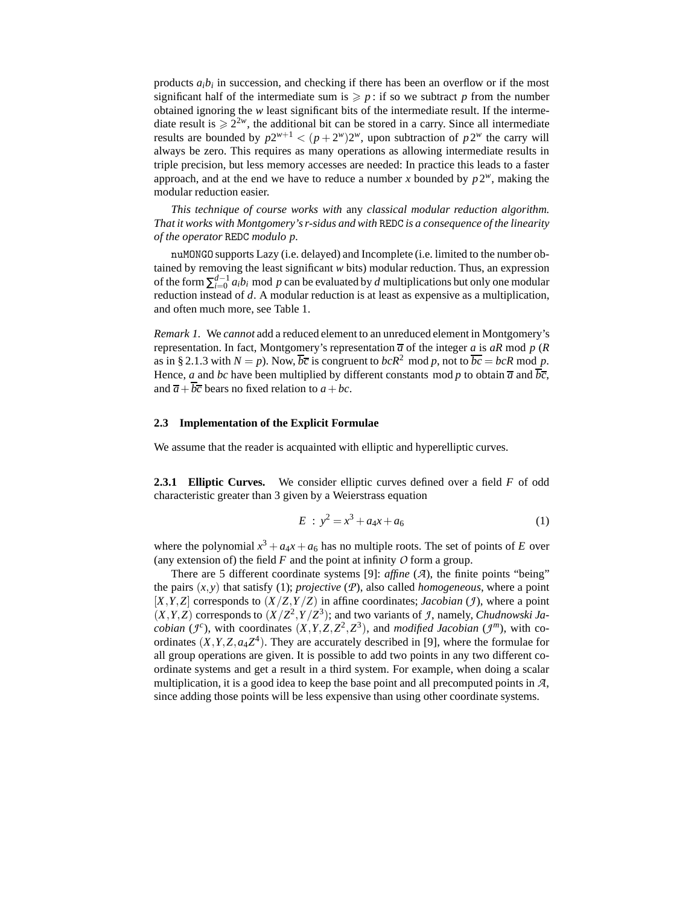products  $a_i b_i$  in succession, and checking if there has been an overflow or if the most significant half of the intermediate sum is  $\geq p$ : if so we subtract p from the number obtained ignoring the *w* least significant bits of the intermediate result. If the intermediate result is  $\geq 2^{2w}$ , the additional bit can be stored in a carry. Since all intermediate results are bounded by  $p2^{w+1} < (p+2^w)2^w$ , upon subtraction of  $p2^w$  the carry will always be zero. This requires as many operations as allowing intermediate results in triple precision, but less memory accesses are needed: In practice this leads to a faster approach, and at the end we have to reduce a number *x* bounded by  $p2^w$ , making the modular reduction easier.

*This technique of course works with* any *classical modular reduction algorithm. That it works with Montgomery's r-sidus and with* REDC *is a consequence of the linearity of the operator* REDC *modulo p.*

nuMONGO supports Lazy (i.e. delayed) and Incomplete (i.e. limited to the number obtained by removing the least significant *w* bits) modular reduction. Thus, an expression of the form  $\sum_{i=0}^{d-1} a_i b_i$  mod *p* can be evaluated by *d* multiplications but only one modular reduction instead of *d*. A modular reduction is at least as expensive as a multiplication, and often much more, see Table 1.

*Remark 1.* We *cannot* add a reduced element to an unreduced element in Montgomery's representation. In fact, Montgomery's representation  $\overline{a}$  of the integer *a* is *aR* mod *p* (*R* as in § 2.1.3 with  $N = p$ ). Now,  $\overline{bc}$  is congruent to  $bcR^2 \mod p$ , not to  $\overline{bc} = bcR \mod p$ . Hence, *a* and *bc* have been multiplied by different constants mod *p* to obtain  $\overline{a}$  and  $\overline{bc}$ , and  $\overline{a} + \overline{b}\overline{c}$  bears no fixed relation to  $a + bc$ .

#### **2.3 Implementation of the Explicit Formulae**

We assume that the reader is acquainted with elliptic and hyperelliptic curves.

**2.3.1 Elliptic Curves.** We consider elliptic curves defined over a field *F* of odd characteristic greater than 3 given by a Weierstrass equation

$$
E : y^2 = x^3 + a_4 x + a_6 \tag{1}
$$

where the polynomial  $x^3 + a_4x + a_6$  has no multiple roots. The set of points of *E* over (any extension of) the field *F* and the point at infinity *O* form a group.

There are 5 different coordinate systems [9]: *affine* (*A*), the finite points "being" the pairs  $(x, y)$  that satisfy (1); *projective* ( $P$ ), also called *homogeneous*, where a point  $[X, Y, Z]$  corresponds to  $(X/Z, Y/Z)$  in affine coordinates; *Jacobian* (*J*), where a point  $(X, Y, Z)$  corresponds to  $(X/Z<sup>2</sup>, Y/Z<sup>3</sup>)$ ; and two variants of *J*, namely, *Chudnowski Jacobian* ( $J^c$ ), with coordinates  $(X, Y, Z, Z^2, Z^3)$ , and *modified Jacobian* ( $J^m$ ), with coordinates  $(X, Y, Z, a_4Z<sup>4</sup>)$ . They are accurately described in [9], where the formulae for all group operations are given. It is possible to add two points in any two different coordinate systems and get a result in a third system. For example, when doing a scalar multiplication, it is a good idea to keep the base point and all precomputed points in *A*, since adding those points will be less expensive than using other coordinate systems.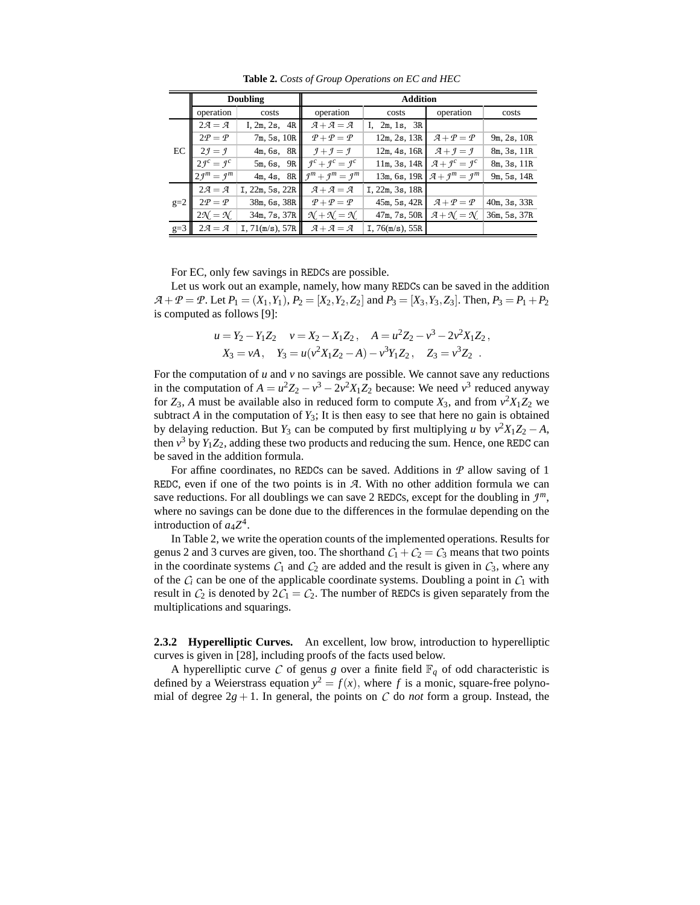|       |                              | Doubling        | <b>Addition</b>                           |                 |                                               |              |  |  |  |
|-------|------------------------------|-----------------|-------------------------------------------|-----------------|-----------------------------------------------|--------------|--|--|--|
|       | operation                    | costs           | operation                                 | costs           | operation                                     | costs        |  |  |  |
|       | $2\mathcal{A}=\mathcal{A}$   | I, 2m, 2s, 4R   | $A+A=A$                                   | I, 2m, 1s, 3R   |                                               |              |  |  |  |
|       | $2P = P$                     | 7m, 5s, 10R     | $P + P = P$                               | 12m, 2s, 13R    | $\mathcal{A} + \mathcal{P} = \mathcal{P}$     | 9m, 2s, 10R  |  |  |  |
| EC    | $2\mathcal{I}=\mathcal{I}$   | 4m, 6s, 8R      | $\mathcal{I} + \mathcal{I} = \mathcal{I}$ | 12m, 4s, 16R    | $\mathcal{A} + \mathcal{I} = \mathcal{I}$     | 8m, 3s, 11R  |  |  |  |
|       | $2f^c = f^c$                 | 5m, 6s, 9R      | $f^c + f^c = f^c$                         | 11m, 3s, 14R    | $\mathcal{A} + \mathcal{I}^c = \mathcal{I}^c$ | 8m, 3s, 11R  |  |  |  |
|       | $2f^m = f^m$                 | 4m, 4s, 8R      | $f^{m}+f^{m}=f^{m}$                       | 13m, 6s, 19R    | $\mathcal{A} + \mathcal{I}^m = \mathcal{I}^m$ | 9m, 5s, 14R  |  |  |  |
|       | $2\mathcal{A}=\mathcal{A}$   | I, 22m, 5s, 22R | $A+A=A$                                   | I, 22m, 3s, 18R |                                               |              |  |  |  |
| $g=2$ | $2P = P$                     | 38m, 6s, 38R    | $P + P = P$                               | 45m, 5s, 42R    | $\mathcal{A} + \mathcal{P} = \mathcal{P}$     | 40m, 3s, 33R |  |  |  |
|       | $2\mathcal{N} = \mathcal{N}$ | 34m, 7s, 37R    | $\mathcal{N} + \mathcal{N} = \mathcal{N}$ | 47m, 7s, 50R    | $\mathcal{A} + \mathcal{N} = \mathcal{N}$     | 36m, 5s, 37R |  |  |  |
| $g=3$ | $2\mathcal{A}=\mathcal{A}$   | I, 71(m/s), 57R | $A + A = A$                               | I, 76(m/s), 55R |                                               |              |  |  |  |

**Table 2.** *Costs of Group Operations on EC and HEC*

For EC, only few savings in REDCs are possible.

Let us work out an example, namely, how many REDCs can be saved in the addition  $A + P = P$ . Let  $P_1 = (X_1, Y_1), P_2 = [X_2, Y_2, Z_2]$  and  $P_3 = [X_3, Y_3, Z_3]$ . Then,  $P_3 = P_1 + P_2$ is computed as follows [9]:

$$
u = Y_2 - Y_1 Z_2 \quad v = X_2 - X_1 Z_2, \quad A = u^2 Z_2 - v^3 - 2v^2 X_1 Z_2,
$$
  
\n
$$
X_3 = vA, \quad Y_3 = u(v^2 X_1 Z_2 - A) - v^3 Y_1 Z_2, \quad Z_3 = v^3 Z_2.
$$

For the computation of *u* and *v* no savings are possible. We cannot save any reductions in the computation of  $A = u^2 Z_2 - v^3 - 2v^2 X_1 Z_2$  because: We need  $v^3$  reduced anyway for  $Z_3$ , A must be available also in reduced form to compute  $X_3$ , and from  $v^2 X_1 Z_2$  we subtract  $A$  in the computation of  $Y_3$ ; It is then easy to see that here no gain is obtained by delaying reduction. But *Y*<sub>3</sub> can be computed by first multiplying *u* by  $v^2X_1Z_2 - A$ , then  $v^3$  by  $Y_1Z_2$ , adding these two products and reducing the sum. Hence, one REDC can be saved in the addition formula.

For affine coordinates, no REDCs can be saved. Additions in *P* allow saving of 1 REDC, even if one of the two points is in *A*. With no other addition formula we can save reductions. For all doublings we can save 2 REDCs, except for the doubling in *J m*, where no savings can be done due to the differences in the formulae depending on the introduction of  $a_4Z^4$ .

In Table 2, we write the operation counts of the implemented operations. Results for genus 2 and 3 curves are given, too. The shorthand  $C_1 + C_2 = C_3$  means that two points in the coordinate systems  $C_1$  and  $C_2$  are added and the result is given in  $C_3$ , where any of the  $C_i$  can be one of the applicable coordinate systems. Doubling a point in  $C_1$  with result in  $C_2$  is denoted by  $2C_1 = C_2$ . The number of REDCs is given separately from the multiplications and squarings.

**2.3.2 Hyperelliptic Curves.** An excellent, low brow, introduction to hyperelliptic curves is given in [28], including proofs of the facts used below.

A hyperelliptic curve C of genus g over a finite field  $\mathbb{F}_q$  of odd characteristic is defined by a Weierstrass equation  $y^2 = f(x)$ , where f is a monic, square-free polynomial of degree  $2g + 1$ . In general, the points on *C* do *not* form a group. Instead, the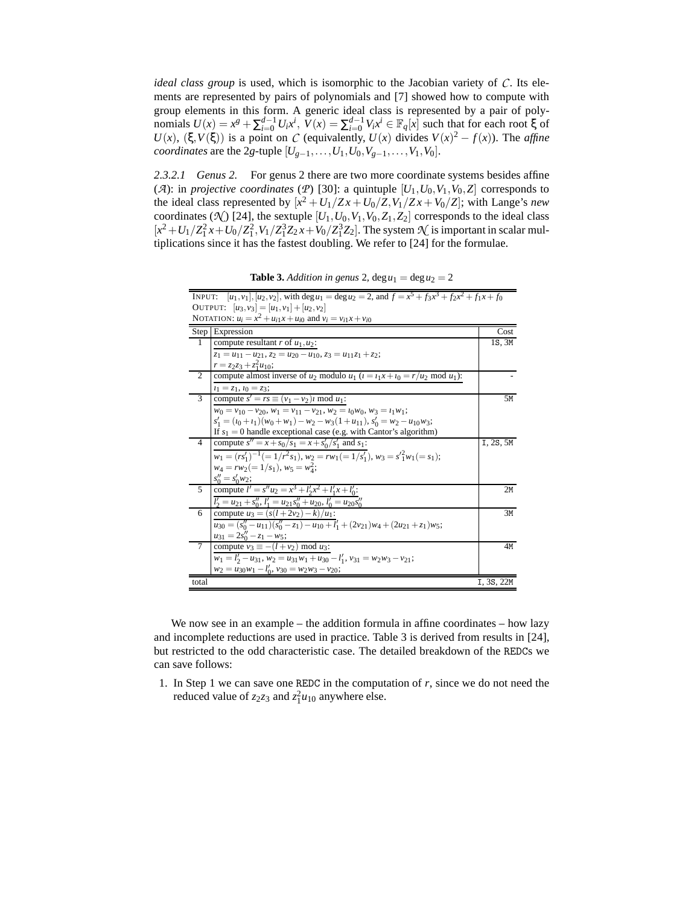*ideal class group* is used, which is isomorphic to the Jacobian variety of *C*. Its elements are represented by pairs of polynomials and [7] showed how to compute with group elements in this form. A generic ideal class is represented by a pair of polynomials  $U(x) = x^g + \sum_{i=0}^{d-1} U_i x^i$ ,  $V(x) = \sum_{i=0}^{d-1} V_i x^i \in \mathbb{F}_q[x]$  such that for each root  $\xi$  of  $U(x)$ ,  $(\xi, V(\xi))$  is a point on *C* (equivalently,  $U(x)$  divides  $V(x)^2 - f(x)$ ). The *affine coordinates* are the 2*g*-tuple  $[U_{g-1},...,U_1,U_0,V_{g-1},...,V_1,V_0]$ .

*2.3.2.1 Genus 2.* For genus 2 there are two more coordinate systems besides affine (*A*): in *projective coordinates* (*P*) [30]: a quintuple  $[U_1, U_0, V_1, V_0, Z]$  corresponds to the ideal class represented by  $[x^2 + U_1/Zx + U_0/Z, V_1/Zx + V_0/Z]$ ; with Lange's *new* coordinates ( $\mathcal{N}$ ) [24], the sextuple  $[U_1, U_0, V_1, V_0, Z_1, Z_2]$  corresponds to the ideal class  $[x^2 + U_1/Z_1^2 x + U_0/Z_1^2, V_1/Z_1^3 Z_2 x + V_0/Z_1^3 Z_2]$ . The system  $\mathcal{N}$  is important in scalar multiplications since it has the fastest doubling. We refer to [24] for the formulae.

**Table 3.** *Addition in genus* 2,  $\deg u_1 = \deg u_2 = 2$ 

| INPUT:         | $[u_1, v_1], [u_2, v_2]$ , with deg $u_1 = \deg u_2 = 2$ , and $f = x^5 + f_3x^3 + f_2x^2 + f_1x + f_0$ |            |
|----------------|---------------------------------------------------------------------------------------------------------|------------|
|                | OUTPUT: $[u_3, v_3] = [u_1, v_1] + [u_2, v_2]$                                                          |            |
|                | NOTATION: $u_i = x^2 + u_{i1}x + u_{i0}$ and $v_i = v_{i1}x + v_{i0}$                                   |            |
|                | Step Expression                                                                                         | Cost       |
| $\overline{1}$ | compute resultant $r$ of $u_1, u_2$ :                                                                   | 1S, 3M     |
|                | $z_1 = u_{11} - u_{21}$ , $z_2 = u_{20} - u_{10}$ , $z_3 = u_{11}z_1 + z_2$ ;                           |            |
|                | $r = z_2 z_3 + z_1^2 u_{10};$                                                                           |            |
| 2              | compute almost inverse of $u_2$ modulo $u_1$ $(i = i_1x + i_0 = r/u_2 \mod u_1)$ :                      |            |
|                | $i_1 = z_1, i_0 = z_3;$                                                                                 |            |
| $\overline{3}$ | compute $\overline{s'} = rs \equiv (v_1 - v_2)i \mod u_1$ :                                             | 5M         |
|                | $w_0 = v_{10} - v_{20}$ , $w_1 = v_{11} - v_{21}$ , $w_2 = v_0 w_0$ , $w_3 = v_1 w_1$ ;                 |            |
|                | $s'_1 = (i_0 + i_1)(w_0 + w_1) - w_2 - w_3(1 + u_{11}), s'_0 = w_2 - u_{10}w_3;$                        |            |
|                | If $s_1 = 0$ handle exceptional case (e.g. with Cantor's algorithm)                                     |            |
| $\overline{4}$ | compute $s'' = x + s_0/s_1 = x + s'_0/s'_1$ and $s_1$ :                                                 | I, 2S, 5M  |
|                | $w_1 = (rs'_1)^{-1} (= 1/r^2 s_1), w_2 = rw_1 (= 1/s'_1), w_3 = s'_1 w_1 (= s_1);$                      |            |
|                | $w_4 = rw_2 (= 1/s_1), w_5 = w_4^2;$                                                                    |            |
|                | $s_0'' = s_0' w_2;$                                                                                     |            |
| $\overline{5}$ | compute $l' = s'' u_2 = x^3 + l'_3 x^2 + l'_1 x + l'_0$ :                                               | 2M         |
|                | $l'_2 = u_{21} + s''_0$ , $l'_1 = u_{21} s''_0 + u_{20}$ , $l'_0 = u_{20} s''_0$                        |            |
| 6              | compute $u_3 = (s(l+2v_2) - k)/u_1$ :                                                                   | 3M         |
|                | $u_{30} = (s''_0 - u_{11})(s''_0 - z_1) - u_{10} + l'_1 + (2v_{21})w_4 + (2u_{21} + z_1)w_5;$           |            |
|                | $u_{31} = 2s''_0 - z_1 - w_5;$                                                                          |            |
| $\tau$         | compute $v_3 \equiv -(l + v_2) \mod u_3$ :                                                              | 4M         |
|                | $w_1 = l'_2 - u_{31}$ , $w_2 = u_{31}w_1 + u_{30} - l'_1$ , $v_{31} = w_2w_3 - v_{21}$ ;                |            |
|                | $w_2 = u_{30}w_1 - l'_0$ , $v_{30} = w_2w_3 - v_{20}$ ;                                                 |            |
| total          |                                                                                                         | I, 3S, 22M |

We now see in an example – the addition formula in affine coordinates – how lazy and incomplete reductions are used in practice. Table 3 is derived from results in [24], but restricted to the odd characteristic case. The detailed breakdown of the REDCs we can save follows:

1. In Step 1 we can save one REDC in the computation of *r*, since we do not need the reduced value of  $z_2z_3$  and  $z_1^2u_{10}$  anywhere else.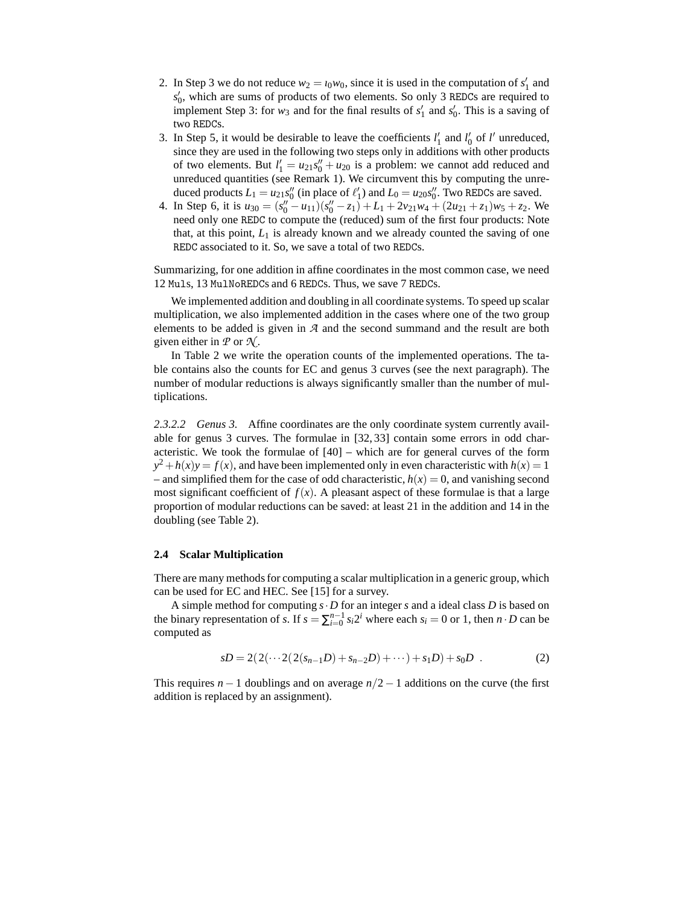- 2. In Step 3 we do not reduce  $w_2 = t_0 w_0$ , since it is used in the computation of  $s'_1$  and *s* ′ 0 , which are sums of products of two elements. So only 3 REDCs are required to implement Step 3: for  $w_3$  and for the final results of  $s'_1$  and  $s'_0$ . This is a saving of two REDCs.
- 3. In Step 5, it would be desirable to leave the coefficients  $l'_1$  and  $l'_0$  of  $l'$  unreduced, since they are used in the following two steps only in additions with other products of two elements. But  $l'_1 = u_{21} s''_0 + u_{20}$  is a problem: we cannot add reduced and unreduced quantities (see Remark 1). We circumvent this by computing the unreduced products  $L_1 = u_{21} s_0''$  (in place of  $\ell'_1$ ) and  $L_0 = u_{20} s_0''$ . Two REDCs are saved.
- 4. In Step 6, it is  $u_{30} = (s''_0 u_{11})(s''_0 z_1) + L_1 + 2v_{21}w_4 + (2u_{21} + z_1)w_5 + z_2$ . We need only one REDC to compute the (reduced) sum of the first four products: Note that, at this point,  $L_1$  is already known and we already counted the saving of one REDC associated to it. So, we save a total of two REDCs.

Summarizing, for one addition in affine coordinates in the most common case, we need 12 Muls, 13 MulNoREDCs and 6 REDCs. Thus, we save 7 REDCs.

We implemented addition and doubling in all coordinate systems. To speed up scalar multiplication, we also implemented addition in the cases where one of the two group elements to be added is given in *A* and the second summand and the result are both given either in  $P$  or  $\mathcal{N}$ .

In Table 2 we write the operation counts of the implemented operations. The table contains also the counts for EC and genus 3 curves (see the next paragraph). The number of modular reductions is always significantly smaller than the number of multiplications.

*2.3.2.2 Genus 3.* Affine coordinates are the only coordinate system currently available for genus 3 curves. The formulae in [32, 33] contain some errors in odd characteristic. We took the formulae of [40] – which are for general curves of the form  $y^2 + h(x)y = f(x)$ , and have been implemented only in even characteristic with  $h(x) = 1$ – and simplified them for the case of odd characteristic,  $h(x) = 0$ , and vanishing second most significant coefficient of  $f(x)$ . A pleasant aspect of these formulae is that a large proportion of modular reductions can be saved: at least 21 in the addition and 14 in the doubling (see Table 2).

#### **2.4 Scalar Multiplication**

There are many methods for computing a scalar multiplication in a generic group, which can be used for EC and HEC. See [15] for a survey.

A simple method for computing *s*·*D* for an integer *s* and a ideal class *D* is based on the binary representation of *s*. If  $s = \sum_{i=0}^{n-1} s_i 2^i$  where each  $s_i = 0$  or 1, then  $n \cdot D$  can be computed as

$$
sD = 2(2(\cdots 2(2(s_{n-1}D) + s_{n-2}D) + \cdots) + s_1D) + s_0D
$$
 (2)

This requires  $n - 1$  doublings and on average  $n/2 - 1$  additions on the curve (the first addition is replaced by an assignment).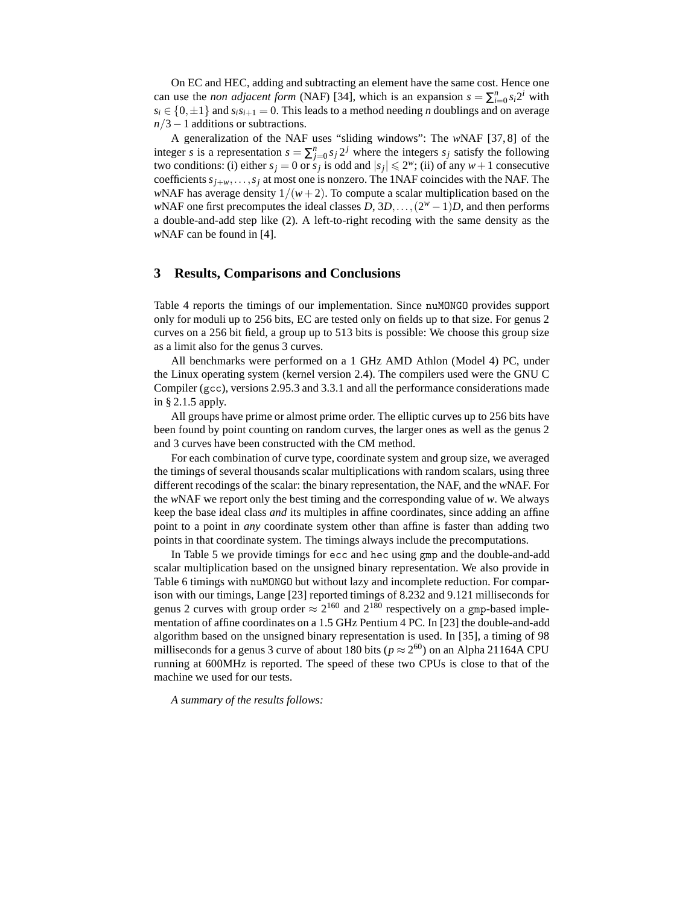On EC and HEC, adding and subtracting an element have the same cost. Hence one can use the *non adjacent form* (NAF) [34], which is an expansion  $s = \sum_{i=0}^{n} s_i 2^i$  with  $s_i \in \{0, \pm 1\}$  and  $s_i s_{i+1} = 0$ . This leads to a method needing *n* doublings and on average *n*/3 − 1 additions or subtractions.

A generalization of the NAF uses "sliding windows": The *w*NAF [37, 8] of the integer *s* is a representation  $s = \sum_{j=0}^{n} s_j 2^j$  where the integers  $s_j$  satisfy the following two conditions: (i) either  $s_j = 0$  or  $s_j$  is odd and  $|s_j| \le 2^w$ ; (ii) of any  $w + 1$  consecutive coefficients  $s_{i+w},...,s_i$  at most one is nonzero. The 1NAF coincides with the NAF. The *w*NAF has average density  $1/(w+2)$ . To compute a scalar multiplication based on the *w*NAF one first precomputes the ideal classes  $D$ ,  $3D$ ,..., $(2^w - 1)D$ , and then performs a double-and-add step like (2). A left-to-right recoding with the same density as the *w*NAF can be found in [4].

### **3 Results, Comparisons and Conclusions**

Table 4 reports the timings of our implementation. Since nuMONGO provides support only for moduli up to 256 bits, EC are tested only on fields up to that size. For genus 2 curves on a 256 bit field, a group up to 513 bits is possible: We choose this group size as a limit also for the genus 3 curves.

All benchmarks were performed on a 1 GHz AMD Athlon (Model 4) PC, under the Linux operating system (kernel version 2.4). The compilers used were the GNU C Compiler (gcc), versions 2.95.3 and 3.3.1 and all the performance considerations made in § 2.1.5 apply.

All groups have prime or almost prime order. The elliptic curves up to 256 bits have been found by point counting on random curves, the larger ones as well as the genus 2 and 3 curves have been constructed with the CM method.

For each combination of curve type, coordinate system and group size, we averaged the timings of several thousands scalar multiplications with random scalars, using three different recodings of the scalar: the binary representation, the NAF, and the *w*NAF. For the *w*NAF we report only the best timing and the corresponding value of *w*. We always keep the base ideal class *and* its multiples in affine coordinates, since adding an affine point to a point in *any* coordinate system other than affine is faster than adding two points in that coordinate system. The timings always include the precomputations.

In Table 5 we provide timings for ecc and hec using gmp and the double-and-add scalar multiplication based on the unsigned binary representation. We also provide in Table 6 timings with nuMONGO but without lazy and incomplete reduction. For comparison with our timings, Lange [23] reported timings of 8.232 and 9.121 milliseconds for genus 2 curves with group order  $\approx 2^{160}$  and  $2^{180}$  respectively on a gmp-based implementation of affine coordinates on a 1.5 GHz Pentium 4 PC. In [23] the double-and-add algorithm based on the unsigned binary representation is used. In [35], a timing of 98 milliseconds for a genus 3 curve of about 180 bits ( $p \approx 2^{60}$ ) on an Alpha 21164A CPU running at 600MHz is reported. The speed of these two CPUs is close to that of the machine we used for our tests.

*A summary of the results follows:*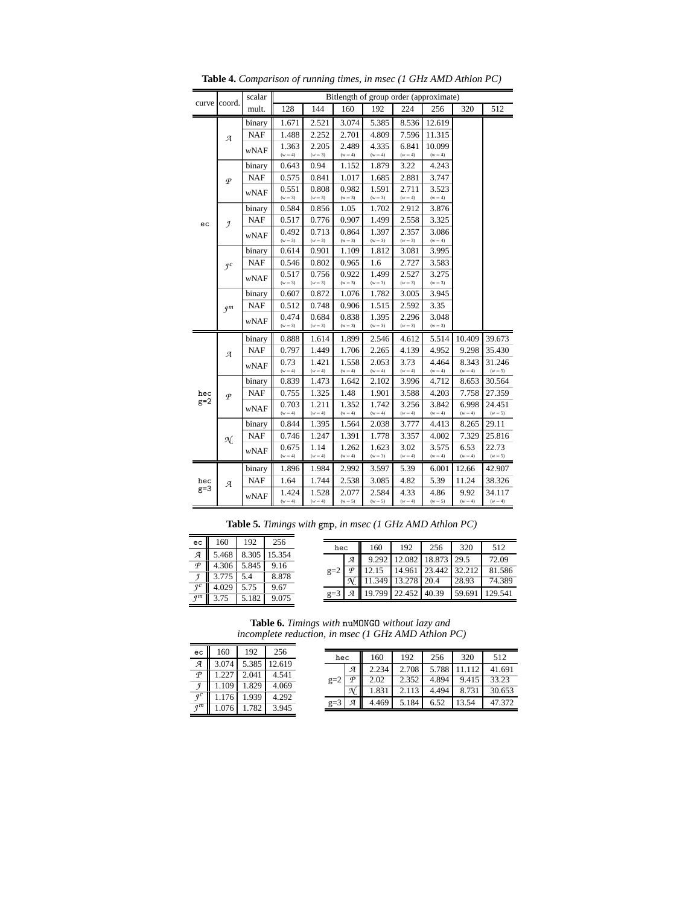|       | coord.          | scalar      |                    | Bitlength of group order (approximate) |                    |                    |                    |                     |                    |                     |  |  |
|-------|-----------------|-------------|--------------------|----------------------------------------|--------------------|--------------------|--------------------|---------------------|--------------------|---------------------|--|--|
| curve |                 | mult.       | 128                | 144                                    | 160                | 192                | 224                | 256                 | 320                | 512                 |  |  |
|       |                 | binary      | 1.671              | 2.521                                  | 3.074              | 5.385              | 8.536              | 12.619              |                    |                     |  |  |
|       | $\mathcal{A}$   | <b>NAF</b>  | 1.488              | 2.252                                  | 2.701              | 4.809              | 7.596              | 11.315              |                    |                     |  |  |
|       |                 | <i>wNAF</i> | 1.363<br>$(w=4)$   | 2.205<br>$(w=3)$                       | 2.489<br>$(w=4)$   | 4.335<br>$(w=4)$   | 6.841<br>$(w = 4)$ | 10.099<br>$(w = 4)$ |                    |                     |  |  |
|       |                 | binary      | 0.643              | 0.94                                   | 1.152              | 1.879              | 3.22               | 4.243               |                    |                     |  |  |
|       | $\varphi$       | <b>NAF</b>  | 0.575              | 0.841                                  | 1.017              | 1.685              | 2.881              | 3.747               |                    |                     |  |  |
|       |                 | <b>wNAF</b> | 0.551<br>$(w=3)$   | 0.808<br>$(w=3)$                       | 0.982<br>$(w=3)$   | 1.591<br>$(w = 3)$ | 2.711<br>$(w=4)$   | 3.523<br>$(w=4)$    |                    |                     |  |  |
|       |                 | binary      | 0.584              | 0.856                                  | 1.05               | 1.702              | 2.912              | 3.876               |                    |                     |  |  |
| ec    | $\mathcal{I}$   | <b>NAF</b>  | 0.517              | 0.776                                  | 0.907              | 1.499              | 2.558              | 3.325               |                    |                     |  |  |
|       |                 | wNAF        | 0.492<br>$(w = 3)$ | 0.713<br>$(w=3)$                       | 0.864<br>$(w=3)$   | 1.397<br>$(w = 3)$ | 2.357<br>$(w=3)$   | 3.086<br>$(w = 4)$  |                    |                     |  |  |
|       |                 | binary      | 0.614              | 0.901                                  | 1.109              | 1.812              | 3.081              | 3.995               |                    |                     |  |  |
|       | $\mathcal{I}^c$ | <b>NAF</b>  | 0.546              | 0.802                                  | 0.965              | 1.6                | 2.727              | 3.583               |                    |                     |  |  |
|       |                 | wNAF        | 0.517<br>$(w = 3)$ | 0.756<br>$(w=3)$                       | 0.922<br>$(w=3)$   | 1.499<br>$(w = 3)$ | 2.527<br>$(w = 3)$ | 3.275<br>$(w=3)$    |                    |                     |  |  |
|       | $\mathcal{I}^m$ | binary      | 0.607              | 0.872                                  | 1.076              | 1.782              | 3.005              | 3.945               |                    |                     |  |  |
|       |                 | <b>NAF</b>  | 0.512              | 0.748                                  | 0.906              | 1.515              | 2.592              | 3.35                |                    |                     |  |  |
|       |                 | wNAF        | 0.474              | 0.684                                  | 0.838              | 1.395              | 2.296              | 3.048               |                    |                     |  |  |
|       |                 |             | $(w=3)$            | $(w=3)$                                | $(w = 3)$          | $(w = 3)$          | $(w = 3)$          | $(w = 3)$           |                    |                     |  |  |
|       |                 | binary      | 0.888              | 1.614                                  | 1.899              | 2.546              | 4.612              | 5.514               | 10.409             | 39.673              |  |  |
|       | Я               | <b>NAF</b>  | 0.797              | 1.449                                  | 1.706              | 2.265              | 4.139              | 4.952               | 9.298              | 35.430              |  |  |
|       |                 | <i>wNAF</i> | 0.73<br>$(w=4)$    | 1.421<br>$(w=4)$                       | 1.558<br>$(w=4)$   | 2.053<br>$(w=4)$   | 3.73<br>$(w=4)$    | 4.464<br>$(w = 4)$  | 8.343<br>$(w=4)$   | 31.246<br>$(w = 5)$ |  |  |
|       |                 | binary      | 0.839              | 1.473                                  | 1.642              | 2.102              | 3.996              | 4.712               | 8.653              | 30.564              |  |  |
| hec   | $\varphi$       | <b>NAF</b>  | 0.755              | 1.325                                  | 1.48               | 1.901              | 3.588              | 4.203               | 7.758              | 27.359              |  |  |
| $g=2$ |                 | wNAF        | 0.703              | 1.211                                  | 1.352              | 1.742              | 3.256              | 3.842               | 6.998              | 24.451              |  |  |
|       |                 | binary      | $(w=4)$<br>0.844   | $(w=4)$<br>1.395                       | $(w=4)$<br>1.564   | $(w = 4)$<br>2.038 | $(w=4)$<br>3.777   | $(w = 4)$<br>4.413  | $(w = 4)$<br>8.265 | $(w = 5)$<br>29.11  |  |  |
|       |                 | <b>NAF</b>  | 0.746              | 1.247                                  | 1.391              | 1.778              | 3.357              | 4.002               | 7.329              | 25.816              |  |  |
|       | N.              |             | 0.675              | 1.14                                   | 1.262              | 1.623              | 3.02               | 3.575               | 6.53               | 22.73               |  |  |
|       |                 | wNAF        | $(w = 4)$          | $(w = 4)$                              | $(w=4)$            | $(w = 3)$          | $(w = 4)$          | $(w = 4)$           | $(w=4)$            | $(w = 5)$           |  |  |
|       |                 | binary      | 1.896              | 1.984                                  | 2.992              | 3.597              | 5.39               | 6.001               | 12.66              | 42.907              |  |  |
| hec   | $\mathcal{A}$   | <b>NAF</b>  | 1.64               | 1.744                                  | 2.538              | 3.085              | 4.82               | 5.39                | 11.24              | 38.326              |  |  |
| $g=3$ |                 | wNAF        | 1.424<br>$(w=4)$   | 1.528<br>$(w = 4)$                     | 2.077<br>$(w = 5)$ | 2.584<br>$(w = 5)$ | 4.33<br>$(w=4)$    | 4.86<br>$(w=5)$     | 9.92<br>$(w=4)$    | 34.117<br>$(w = 4)$ |  |  |

**Table 4.** *Comparison of running times, in msec (1 GHz AMD Athlon PC)*

**Table 5.** *Timings with* gmp*, in msec (1 GHz AMD Athlon PC)*

| ec                       | 160   | 192   | 256    |       | hec      | 160    | 192    | 256    | 320    | 512     |
|--------------------------|-------|-------|--------|-------|----------|--------|--------|--------|--------|---------|
| $\overline{\mathcal{A}}$ | 5.468 | 8.305 | 15.354 |       |          |        |        |        |        |         |
| $\varphi$                |       | 5.845 |        |       | я        | 9.292  | 12.082 | 18.873 | 29.5   | 72.09   |
|                          | 4.306 |       | 9.16   | $g=2$ | $\sigma$ |        | 14.961 | 23.442 | 32.212 | 81.586  |
|                          | 3.775 | 5.4   | 8.878  |       |          | 11.349 | 13.278 | 20.4   | 28.93  | 74.389  |
| q c                      | 4.029 | 5.75  | 9.67   |       |          |        |        |        |        |         |
| qm                       | 3.75  | 5.182 | 9.075  | $g=3$ | я        | 9.799  | 22.452 | 40.39  | 59.691 | 129.541 |
|                          |       |       |        |       |          |        |        |        |        |         |

**Table 6.** *Timings with* nuMONGO *without lazy and incomplete reduction, in msec (1 GHz AMD Athlon PC)*

| ec        | 160   | 192   | 256    |
|-----------|-------|-------|--------|
| я         | 3.074 | 5.385 | 12.619 |
| $\varphi$ | 1.227 | 2.041 | 4.541  |
| I         | 1.109 | 1.829 | 4.069  |
| $q$ c     | 1.176 | 1.939 | 4.292  |
|           | 1.076 | 1.782 | 3.945  |

| hec   |           | 160   | 192   | 256   | 320   | 512    |
|-------|-----------|-------|-------|-------|-------|--------|
|       | я         | 2.234 | 2.708 | 5.788 |       | 41.691 |
| $g=2$ | $\varphi$ | 2.02  | 2.352 | 4.894 | 9.415 | 33.23  |
|       | N         | 1.831 | 2.113 | 4.494 | 8.731 | 30.653 |
| $g=3$ | ø         | 469   | 5.184 | 6.52  | 13.54 | 47.372 |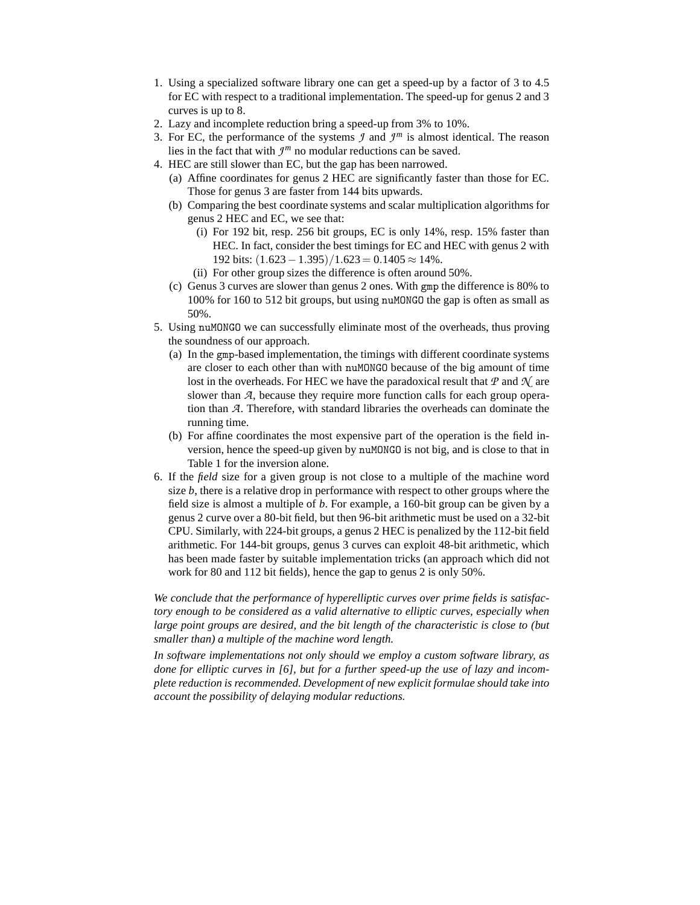- 1. Using a specialized software library one can get a speed-up by a factor of 3 to 4.5 for EC with respect to a traditional implementation. The speed-up for genus 2 and 3 curves is up to 8.
- 2. Lazy and incomplete reduction bring a speed-up from 3% to 10%.
- 3. For EC, the performance of the systems  $\mathcal I$  and  $\mathcal I^m$  is almost identical. The reason lies in the fact that with  $\mathcal{I}^m$  no modular reductions can be saved.
- 4. HEC are still slower than EC, but the gap has been narrowed.
	- (a) Affine coordinates for genus 2 HEC are significantly faster than those for EC. Those for genus 3 are faster from 144 bits upwards.
	- (b) Comparing the best coordinate systems and scalar multiplication algorithms for genus 2 HEC and EC, we see that:
		- (i) For 192 bit, resp. 256 bit groups, EC is only 14%, resp. 15% faster than HEC. In fact, consider the best timings for EC and HEC with genus 2 with 192 bits:  $(1.623 - 1.395)/1.623 = 0.1405 \approx 14\%$ .
		- (ii) For other group sizes the difference is often around 50%.
	- (c) Genus 3 curves are slower than genus 2 ones. With gmp the difference is 80% to 100% for 160 to 512 bit groups, but using nuMONGO the gap is often as small as 50%.
- 5. Using nuMONGO we can successfully eliminate most of the overheads, thus proving the soundness of our approach.
	- (a) In the gmp-based implementation, the timings with different coordinate systems are closer to each other than with nuMONGO because of the big amount of time lost in the overheads. For HEC we have the paradoxical result that *P* and *N* are slower than *A*, because they require more function calls for each group operation than *A*. Therefore, with standard libraries the overheads can dominate the running time.
	- (b) For affine coordinates the most expensive part of the operation is the field inversion, hence the speed-up given by nuMONGO is not big, and is close to that in Table 1 for the inversion alone.
- 6. If the *field* size for a given group is not close to a multiple of the machine word size *b*, there is a relative drop in performance with respect to other groups where the field size is almost a multiple of *b*. For example, a 160-bit group can be given by a genus 2 curve over a 80-bit field, but then 96-bit arithmetic must be used on a 32-bit CPU. Similarly, with 224-bit groups, a genus 2 HEC is penalized by the 112-bit field arithmetic. For 144-bit groups, genus 3 curves can exploit 48-bit arithmetic, which has been made faster by suitable implementation tricks (an approach which did not work for 80 and 112 bit fields), hence the gap to genus 2 is only 50%.

*We conclude that the performance of hyperelliptic curves over prime fields is satisfactory enough to be considered as a valid alternative to elliptic curves, especially when large point groups are desired, and the bit length of the characteristic is close to (but smaller than) a multiple of the machine word length.*

*In software implementations not only should we employ a custom software library, as done for elliptic curves in [6], but for a further speed-up the use of lazy and incomplete reduction is recommended. Development of new explicit formulae should take into account the possibility of delaying modular reductions.*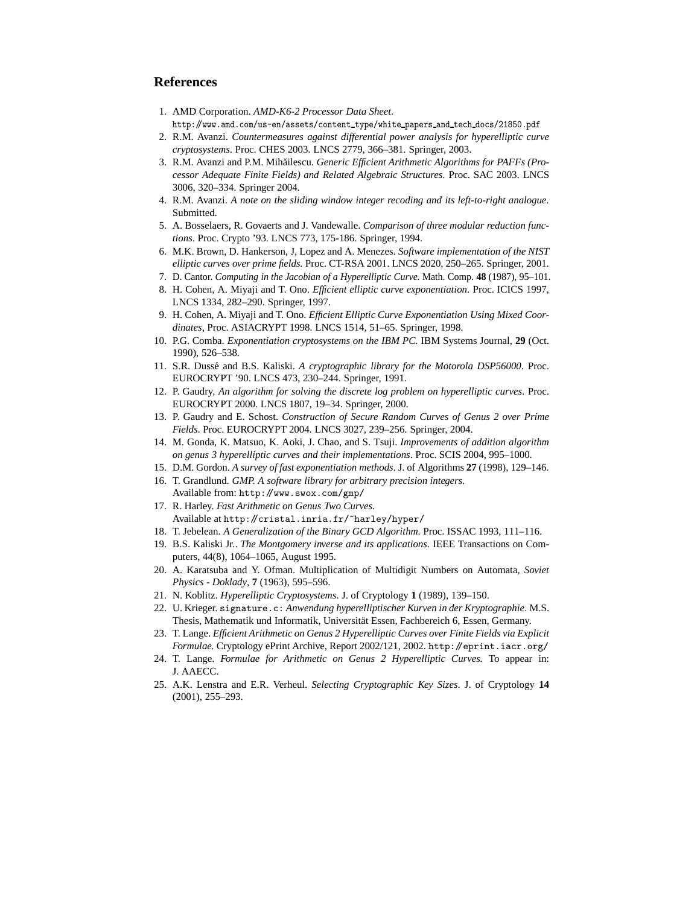# **References**

- 1. AMD Corporation. *AMD-K6-2 Processor Data Sheet*. http://www.amd.com/us-en/assets/content type/white papers and tech docs/21850.pdf
- 2. R.M. Avanzi. *Countermeasures against differential power analysis for hyperelliptic curve cryptosystems*. Proc. CHES 2003. LNCS 2779, 366–381. Springer, 2003.
- 3. R.M. Avanzi and P.M. Mihăilescu. Generic Efficient Arithmetic Algorithms for PAFFs (Pro*cessor Adequate Finite Fields) and Related Algebraic Structures*. Proc. SAC 2003. LNCS 3006, 320–334. Springer 2004.
- 4. R.M. Avanzi. *A note on the sliding window integer recoding and its left-to-right analogue*. Submitted.
- 5. A. Bosselaers, R. Govaerts and J. Vandewalle. *Comparison of three modular reduction functions*. Proc. Crypto '93. LNCS 773, 175-186. Springer, 1994.
- 6. M.K. Brown, D. Hankerson, J, Lopez and A. Menezes. *Software implementation of the NIST elliptic curves over prime fields.* Proc. CT-RSA 2001. LNCS 2020, 250–265. Springer, 2001.
- 7. D. Cantor. *Computing in the Jacobian of a Hyperelliptic Curve.* Math. Comp. **48** (1987), 95–101.
- 8. H. Cohen, A. Miyaji and T. Ono. *Efficient elliptic curve exponentiation*. Proc. ICICS 1997, LNCS 1334, 282–290. Springer, 1997.
- 9. H. Cohen, A. Miyaji and T. Ono. *Efficient Elliptic Curve Exponentiation Using Mixed Coordinates*, Proc. ASIACRYPT 1998. LNCS 1514, 51–65. Springer, 1998.
- 10. P.G. Comba. *Exponentiation cryptosystems on the IBM PC.* IBM Systems Journal, **29** (Oct. 1990), 526–538.
- 11. S.R. Duss´e and B.S. Kaliski. *A cryptographic library for the Motorola DSP56000*. Proc. EUROCRYPT '90. LNCS 473, 230–244. Springer, 1991.
- 12. P. Gaudry, *An algorithm for solving the discrete log problem on hyperelliptic curves*. Proc. EUROCRYPT 2000. LNCS 1807, 19–34. Springer, 2000.
- 13. P. Gaudry and E. Schost. *Construction of Secure Random Curves of Genus 2 over Prime Fields*. Proc. EUROCRYPT 2004. LNCS 3027, 239–256. Springer, 2004.
- 14. M. Gonda, K. Matsuo, K. Aoki, J. Chao, and S. Tsuji. *Improvements of addition algorithm on genus 3 hyperelliptic curves and their implementations*. Proc. SCIS 2004, 995–1000.
- 15. D.M. Gordon. *A survey of fast exponentiation methods*. J. of Algorithms **27** (1998), 129–146.
- 16. T. Grandlund. *GMP. A software library for arbitrary precision integers*.
- Available from: http://www.swox.com/gmp/ 17. R. Harley. *Fast Arithmetic on Genus Two Curves.*
- Available at http://cristal.inria.fr/~harley/hyper/
- 18. T. Jebelean. *A Generalization of the Binary GCD Algorithm.* Proc. ISSAC 1993, 111–116.
- 19. B.S. Kaliski Jr.. *The Montgomery inverse and its applications*. IEEE Transactions on Computers, 44(8), 1064–1065, August 1995.
- 20. A. Karatsuba and Y. Ofman. Multiplication of Multidigit Numbers on Automata, *Soviet Physics - Doklady*, **7** (1963), 595–596.
- 21. N. Koblitz. *Hyperelliptic Cryptosystems*. J. of Cryptology **1** (1989), 139–150.
- 22. U. Krieger. signature.c: *Anwendung hyperelliptischer Kurven in der Kryptographie*. M.S. Thesis, Mathematik und Informatik, Universität Essen, Fachbereich 6, Essen, Germany.
- 23. T. Lange. *Efficient Arithmetic on Genus 2 Hyperelliptic Curves over Finite Fields via Explicit Formulae.* Cryptology ePrint Archive, Report 2002/121, 2002. http://eprint.iacr.org/
- 24. T. Lange. *Formulae for Arithmetic on Genus 2 Hyperelliptic Curves.* To appear in: J. AAECC.
- 25. A.K. Lenstra and E.R. Verheul. *Selecting Cryptographic Key Sizes*. J. of Cryptology **14** (2001), 255–293.